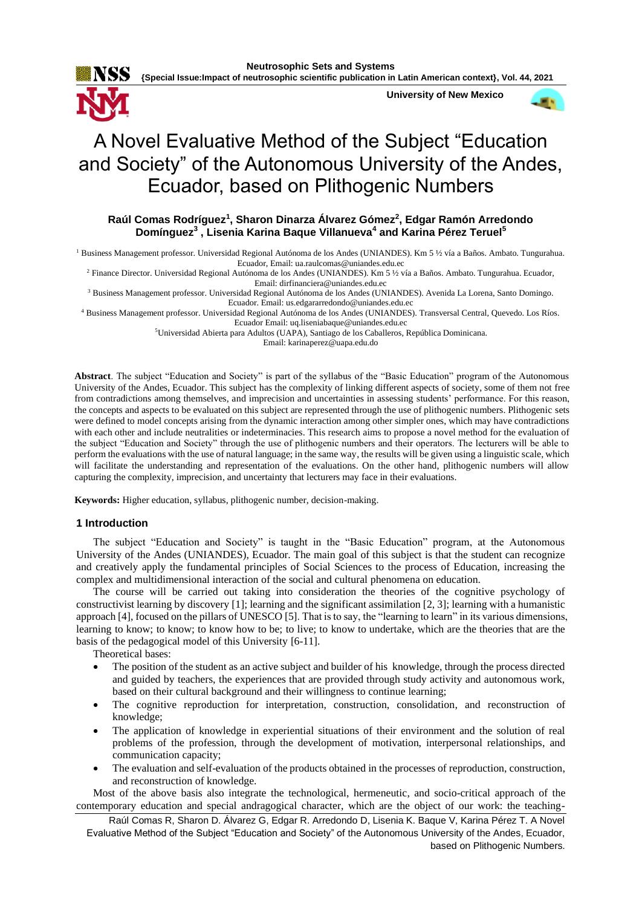**Neutrosophic Sets and Systems {Special Issue:Impact of neutrosophic scientific publication in Latin American context}, Vol. 44, 2021**



**University of New Mexico**



# A Novel Evaluative Method of the Subject "Education and Society" of the Autonomous University of the Andes, Ecuador, based on Plithogenic Numbers

## **Raúl Comas Rodríguez<sup>1</sup> , Sharon Dinarza Álvarez Gómez<sup>2</sup> , Edgar Ramón Arredondo Domínguez<sup>3</sup> , Lisenia Karina Baque Villanueva<sup>4</sup> and Karina Pérez Teruel<sup>5</sup>**

<sup>1</sup> Business Management professor. Universidad Regional Autónoma de los Andes (UNIANDES). Km 5 ½ vía a Baños. Ambato. Tungurahua. Ecuador, Email[: ua.raulcomas@uniandes.edu.ec](mailto:ua.raulcomas@uniandes.edu.ec)

<sup>2</sup> Finance Director. Universidad Regional Autónoma de los Andes (UNIANDES). Km 5 ½ vía a Baños. Ambato. Tungurahua. Ecuador, Email[: dirfinanciera@uniandes.edu.ec](mailto:dirfinanciera@uniandes.edu.ec)

<sup>3</sup> Business Management professor. Universidad Regional Autónoma de los Andes (UNIANDES). Avenida La Lorena, Santo Domingo. Ecuador. Email: [us.edgararredondo@uniandes.edu.ec](mailto:us.edgararredondo@uniandes.edu.ec)

<sup>4</sup> Business Management professor. Universidad Regional Autónoma de los Andes (UNIANDES). Transversal Central, Quevedo. Los Ríos. Ecuador Email[: uq.liseniabaque@uniandes.edu.ec](mailto:uq.liseniabaque@uniandes.edu.ec)

<sup>5</sup>Universidad Abierta para Adultos (UAPA), Santiago de los Caballeros, República Dominicana.

Email: karinaperez@uapa.edu.do

**Abstract**. The subject "Education and Society" is part of the syllabus of the "Basic Education" program of the Autonomous University of the Andes, Ecuador. This subject has the complexity of linking different aspects of society, some of them not free from contradictions among themselves, and imprecision and uncertainties in assessing students' performance. For this reason, the concepts and aspects to be evaluated on this subject are represented through the use of plithogenic numbers. Plithogenic sets were defined to model concepts arising from the dynamic interaction among other simpler ones, which may have contradictions with each other and include neutralities or indeterminacies. This research aims to propose a novel method for the evaluation of the subject "Education and Society" through the use of plithogenic numbers and their operators. The lecturers will be able to perform the evaluations with the use of natural language; in the same way, the results will be given using a linguistic scale, which will facilitate the understanding and representation of the evaluations. On the other hand, plithogenic numbers will allow capturing the complexity, imprecision, and uncertainty that lecturers may face in their evaluations.

**Keywords:** Higher education, syllabus, plithogenic number, decision-making.

#### **1 Introduction**

The subject "Education and Society" is taught in the "Basic Education" program, at the Autonomous University of the Andes (UNIANDES), Ecuador. The main goal of this subject is that the student can recognize and creatively apply the fundamental principles of Social Sciences to the process of Education, increasing the complex and multidimensional interaction of the social and cultural phenomena on education.

The course will be carried out taking into consideration the theories of the cognitive psychology of constructivist learning by discovery [\[1\]](#page-7-0); learning and the significant assimilation [\[2,](#page-7-1) [3\]](#page-7-2); learning with a humanistic approach [\[4\]](#page-7-3), focused on the pillars of UNESCO [\[5\]](#page-7-4). That is to say, the "learning to learn" in its various dimensions, learning to know; to know; to know how to be; to live; to know to undertake, which are the theories that are the basis of the pedagogical model of this University [\[6-11\]](#page-7-5).

Theoretical bases:

- The position of the student as an active subject and builder of his knowledge, through the process directed and guided by teachers, the experiences that are provided through study activity and autonomous work, based on their cultural background and their willingness to continue learning;
- The cognitive reproduction for interpretation, construction, consolidation, and reconstruction of knowledge;
- The application of knowledge in experiential situations of their environment and the solution of real problems of the profession, through the development of motivation, interpersonal relationships, and communication capacity;
- The evaluation and self-evaluation of the products obtained in the processes of reproduction, construction, and reconstruction of knowledge.

Most of the above basis also integrate the technological, hermeneutic, and socio-critical approach of the contemporary education and special andragogical character, which are the object of our work: the teaching-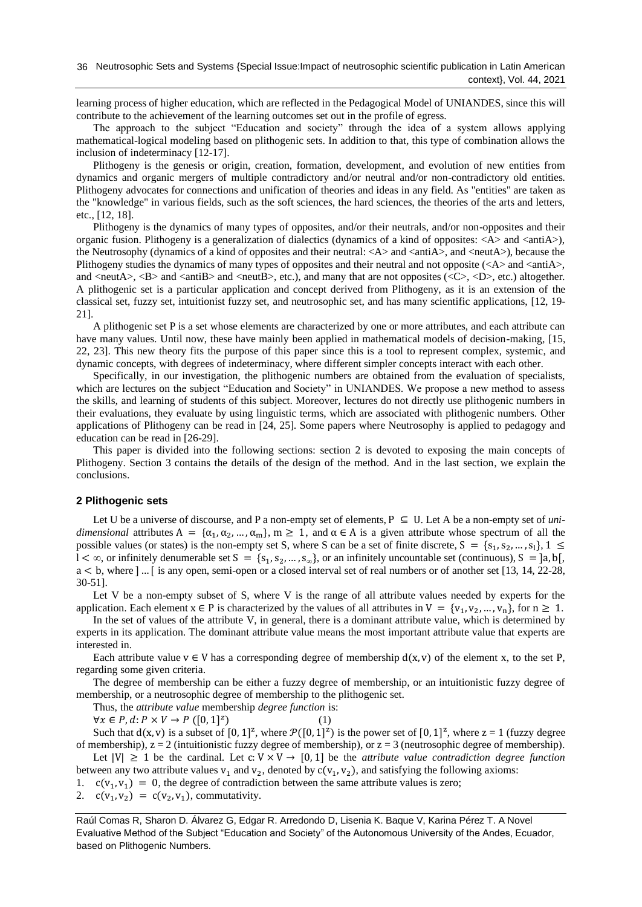learning process of higher education, which are reflected in the Pedagogical Model of UNIANDES, since this will contribute to the achievement of the learning outcomes set out in the profile of egress.

The approach to the subject "Education and society" through the idea of a system allows applying mathematical-logical modeling based on plithogenic sets. In addition to that, this type of combination allows the inclusion of indeterminacy [\[12-17\]](#page-7-6).

Plithogeny is the genesis or origin, creation, formation, development, and evolution of new entities from dynamics and organic mergers of multiple contradictory and/or neutral and/or non-contradictory old entities. Plithogeny advocates for connections and unification of theories and ideas in any field. As "entities" are taken as the "knowledge" in various fields, such as the soft sciences, the hard sciences, the theories of the arts and letters, etc., [\[12,](#page-7-6) [18\]](#page-8-0).

Plithogeny is the dynamics of many types of opposites, and/or their neutrals, and/or non-opposites and their organic fusion. Plithogeny is a generalization of dialectics (dynamics of a kind of opposites: <A> and <antiA>), the Neutrosophy (dynamics of a kind of opposites and their neutral: <A> and <antiA>, and <neutA>), because the Plithogeny studies the dynamics of many types of opposites and their neutral and not opposite (<A> and <antiA>, and  $\langle$ neutA $\rangle$ ,  $\langle$ B $\rangle$  and  $\langle$ antiB $\rangle$  and  $\langle$ neutB $\rangle$ , etc.), and many that are not opposites ( $\langle$ C $\rangle$ ,  $\langle$ D $\rangle$ , etc.) altogether. A plithogenic set is a particular application and concept derived from Plithogeny, as it is an extension of the classical set, fuzzy set, intuitionist fuzzy set, and neutrosophic set, and has many scientific applications, [\[12,](#page-7-6) [19-](#page-8-1) [21\]](#page-8-1).

A plithogenic set P is a set whose elements are characterized by one or more attributes, and each attribute can have many values. Until now, these have mainly been applied in mathematical models of decision-making, [\[15,](#page-8-2) [22,](#page-8-3) [23\]](#page-8-4). This new theory fits the purpose of this paper since this is a tool to represent complex, systemic, and dynamic concepts, with degrees of indeterminacy, where different simpler concepts interact with each other.

Specifically, in our investigation, the plithogenic numbers are obtained from the evaluation of specialists, which are lectures on the subject "Education and Society" in UNIANDES. We propose a new method to assess the skills, and learning of students of this subject. Moreover, lectures do not directly use plithogenic numbers in their evaluations, they evaluate by using linguistic terms, which are associated with plithogenic numbers. Other applications of Plithogeny can be read in [\[24,](#page-8-5) [25\]](#page-8-6). Some papers where Neutrosophy is applied to pedagogy and education can be read in [\[26-29\]](#page-8-7).

This paper is divided into the following sections: section 2 is devoted to exposing the main concepts of Plithogeny. Section 3 contains the details of the design of the method. And in the last section, we explain the conclusions.

#### **2 Plithogenic sets**

Let U be a universe of discourse, and P a non-empty set of elements,  $P \subseteq U$ . Let A be a non-empty set of *unidimensional* attributes  $A = {\alpha_1, \alpha_2, ..., \alpha_m}$ ,  $m \ge 1$ , and  $\alpha \in A$  is a given attribute whose spectrum of all the possible values (or states) is the non-empty set S, where S can be a set of finite discrete,  $S = \{s_1, s_2, ..., s_l\}, 1 \leq$  $l < \infty$ , or infinitely denumerable set S = {s<sub>1</sub>, s<sub>2</sub>, ..., s<sub>∞</sub>}, or an infinitely uncountable set (continuous), S = [a, b[, a < b, where ]… [ is any open, semi-open or a closed interval set of real numbers or of another set [\[13,](#page-8-8) [14,](#page-8-9) [22-28,](#page-8-3) [30-51\]](#page-8-10).

Let V be a non-empty subset of S, where V is the range of all attribute values needed by experts for the application. Each element  $x \in P$  is characterized by the values of all attributes in  $V = \{v_1, v_2, ..., v_n\}$ , for  $n \ge 1$ .

In the set of values of the attribute V, in general, there is a dominant attribute value, which is determined by experts in its application. The dominant attribute value means the most important attribute value that experts are interested in.

Each attribute value  $v \in V$  has a corresponding degree of membership  $d(x, v)$  of the element x, to the set P, regarding some given criteria.

The degree of membership can be either a fuzzy degree of membership, or an intuitionistic fuzzy degree of membership, or a neutrosophic degree of membership to the plithogenic set.

Thus, the *attribute value* membership *degree function* is:

 $\forall x \in P, d \colon P \times V \to P([0, 1]^z)$ )  $(1)$ 

Such that  $d(x, v)$  is a subset of  $[0, 1]^z$ , where  $\mathcal{P}([0, 1]^z)$  is the power set of  $[0, 1]^z$ , where  $z = 1$  (fuzzy degree of membership),  $z = 2$  (intuitionistic fuzzy degree of membership), or  $z = 3$  (neutrosophic degree of membership).

Let  $|V| \ge 1$  be the cardinal. Let  $c: V \times V \rightarrow [0, 1]$  be the *attribute value contradiction degree function* between any two attribute values  $v_1$  and  $v_2$ , denoted by  $c(v_1, v_2)$ , and satisfying the following axioms:

- 1.  $c(v_1, v_1) = 0$ , the degree of contradiction between the same attribute values is zero;
- 2.  $c(v_1, v_2) = c(v_2, v_1)$ , commutativity.

Raúl Comas R, Sharon D. Álvarez G, Edgar R. Arredondo D, Lisenia K. Baque V, Karina Pérez T. A Novel Evaluative Method of the Subject "Education and Society" of the Autonomous University of the Andes, Ecuador, based on Plithogenic Numbers.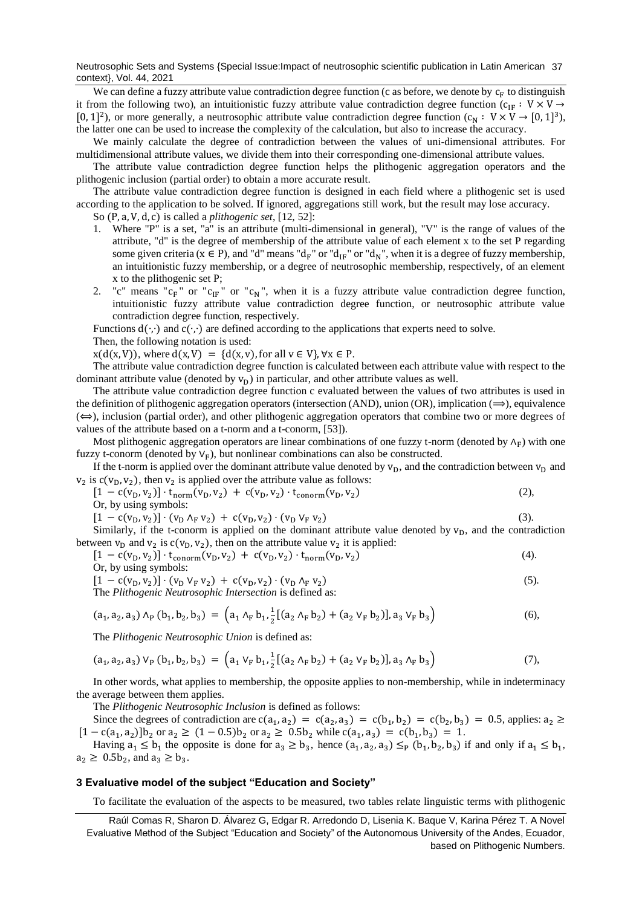Neutrosophic Sets and Systems {Special Issue:Impact of neutrosophic scientific publication in Latin American 37 context}, Vol. 44, 2021

We can define a fuzzy attribute value contradiction degree function (c as before, we denote by  $c_F$  to distinguish it from the following two), an intuitionistic fuzzy attribute value contradiction degree function (c<sub>IF</sub> : V × V → [0, 1]<sup>2</sup>), or more generally, a neutrosophic attribute value contradiction degree function  $(c_N : V \times V \rightarrow [0, 1]^3)$ , the latter one can be used to increase the complexity of the calculation, but also to increase the accuracy.

We mainly calculate the degree of contradiction between the values of uni-dimensional attributes. For multidimensional attribute values, we divide them into their corresponding one-dimensional attribute values.

The attribute value contradiction degree function helps the plithogenic aggregation operators and the plithogenic inclusion (partial order) to obtain a more accurate result.

The attribute value contradiction degree function is designed in each field where a plithogenic set is used according to the application to be solved. If ignored, aggregations still work, but the result may lose accuracy.

So (P, a, V, d, c) is called a *plithogenic set*, [\[12,](#page-7-6) [52\]](#page-9-0):

- 1. Where "P" is a set, "a" is an attribute (multi-dimensional in general), "V" is the range of values of the attribute, "d" is the degree of membership of the attribute value of each element x to the set P regarding some given criteria ( $x \in P$ ), and "d" means "d<sub>F</sub>" or "d<sub>IF</sub>" or "d<sub>N</sub>", when it is a degree of fuzzy membership, an intuitionistic fuzzy membership, or a degree of neutrosophic membership, respectively, of an element x to the plithogenic set P;
- 2. "c" means " $c_F$ " or " $c_{IF}$ " or " $c_N$ ", when it is a fuzzy attribute value contradiction degree function, intuitionistic fuzzy attribute value contradiction degree function, or neutrosophic attribute value contradiction degree function, respectively.

Functions  $d(\cdot, \cdot)$  and  $c(\cdot, \cdot)$  are defined according to the applications that experts need to solve.

Then, the following notation is used:

 $x(d(x, V))$ , where  $d(x, V) = {d(x, v)}$ , for all  $v \in V$ ,  $\forall x \in P$ .

The attribute value contradiction degree function is calculated between each attribute value with respect to the dominant attribute value (denoted by  $v_D$ ) in particular, and other attribute values as well.

The attribute value contradiction degree function c evaluated between the values of two attributes is used in the definition of plithogenic aggregation operators (intersection (AND), union (OR), implication  $(\implies)$ , equivalence  $(\Leftrightarrow)$ , inclusion (partial order), and other plithogenic aggregation operators that combine two or more degrees of values of the attribute based on a t-norm and a t-conorm, [\[53\]](#page-9-1)).

Most plithogenic aggregation operators are linear combinations of one fuzzy t-norm (denoted by  $\Lambda_F$ ) with one fuzzy t-conorm (denoted by  $V_F$ ), but nonlinear combinations can also be constructed.

If the t-norm is applied over the dominant attribute value denoted by  $v_D$ , and the contradiction between  $v_D$  and  $v_2$  is  $c(v_0, v_2)$ , then  $v_2$  is applied over the attribute value as follows:

$$
[1 - c(v_D, v_2)] \cdot t_{norm}(v_D, v_2) + c(v_D, v_2) \cdot t_{conorm}(v_D, v_2)
$$
  
Or, by using symbols: (2),

$$
[1 - c(v_D, v_2)] \cdot (v_D \wedge_F v_2) + c(v_D, v_2) \cdot (v_D \vee_F v_2)
$$
\n(3)

Similarly, if the t-conorm is applied on the dominant attribute value denoted by  $v_D$ , and the contradiction between  $v_D$  and  $v_2$  is  $c(v_D, v_2)$ , then on the attribute value  $v_2$  it is applied:

$$
[1 - c(v_D, v_2)] \cdot t_{\text{conorm}}(v_D, v_2) + c(v_D, v_2) \cdot t_{\text{norm}}(v_D, v_2)
$$
\n(4).

Or, by using symbols:

$$
[1 - c(v_D, v_2)] \cdot (v_D \vee_F v_2) + c(v_D, v_2) \cdot (v_D \wedge_F v_2)
$$
  
The *Plithogenic Neutrosophic Intersection* is defined as: (5).

$$
(a_1, a_2, a_3) \wedge_P (b_1, b_2, b_3) = \left( a_1 \wedge_F b_1, \frac{1}{2} \left[ (a_2 \wedge_F b_2) + (a_2 \vee_F b_2) \right], a_3 \vee_F b_3 \right)
$$
(6),

The *Plithogenic Neutrosophic Union* is defined as:

$$
(a_1, a_2, a_3) V_P (b_1, b_2, b_3) = (a_1 V_F b_1, \frac{1}{2} [(a_2 \wedge_F b_2) + (a_2 V_F b_2)], a_3 \wedge_F b_3)
$$
(7),

In other words, what applies to membership, the opposite applies to non-membership, while in indeterminacy the average between them applies.

The *Plithogenic Neutrosophic Inclusion* is defined as follows:

Since the degrees of contradiction are  $c(a_1, a_2) = c(a_2, a_3) = c(b_1, b_2) = c(b_2, b_3) = 0.5$ , applies:  $a_2 \ge$  $[1 - c(a_1, a_2)]b_2$  or  $a_2 \ge (1 - 0.5)b_2$  or  $a_2 \ge 0.5b_2$  while  $c(a_1, a_3) = c(b_1, b_3) = 1$ .

Having  $a_1 \leq b_1$  the opposite is done for  $a_3 \geq b_3$ , hence  $(a_1, a_2, a_3) \leq_P (b_1, b_2, b_3)$  if and only if  $a_1 \leq b_1$ ,  $a_2 \ge 0.5b_2$ , and  $a_3 \ge b_3$ .

#### **3 Evaluative model of the subject "Education and Society"**

To facilitate the evaluation of the aspects to be measured, two tables relate linguistic terms with plithogenic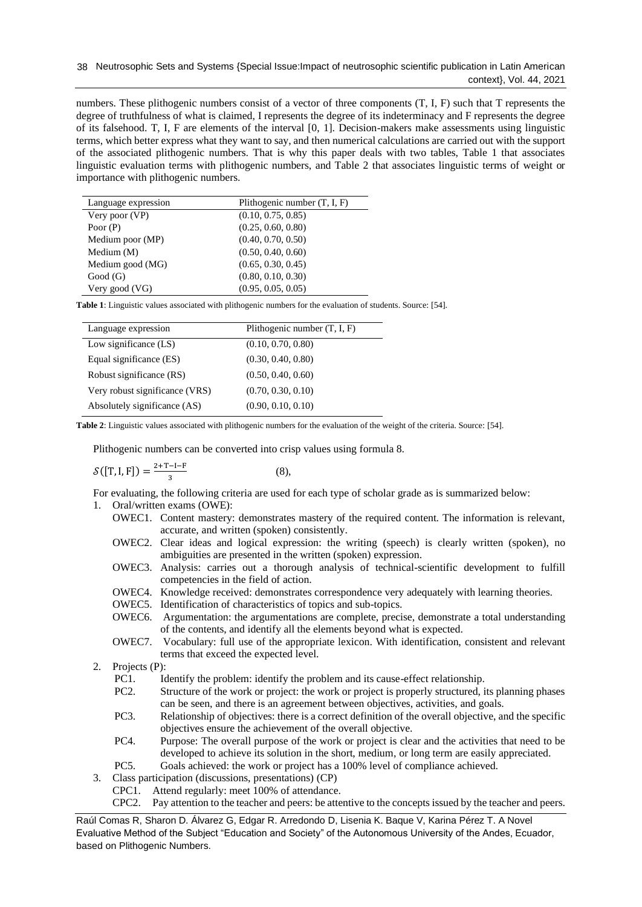numbers. These plithogenic numbers consist of a vector of three components (T, I, F) such that T represents the degree of truthfulness of what is claimed, I represents the degree of its indeterminacy and F represents the degree of its falsehood. T, I, F are elements of the interval [0, 1]. Decision-makers make assessments using linguistic terms, which better express what they want to say, and then numerical calculations are carried out with the support of the associated plithogenic numbers. That is why this paper deals with two tables, Table 1 that associates linguistic evaluation terms with plithogenic numbers, and Table 2 that associates linguistic terms of weight or importance with plithogenic numbers.

| Language expression | Plithogenic number $(T, I, F)$ |
|---------------------|--------------------------------|
| Very poor $(VP)$    | (0.10, 0.75, 0.85)             |
| Poor $(P)$          | (0.25, 0.60, 0.80)             |
| Medium poor (MP)    | (0.40, 0.70, 0.50)             |
| Medium $(M)$        | (0.50, 0.40, 0.60)             |
| Medium good (MG)    | (0.65, 0.30, 0.45)             |
| Good(G)             | (0.80, 0.10, 0.30)             |
| Very good (VG)      | (0.95, 0.05, 0.05)             |

**Table 1**: Linguistic values associated with plithogenic numbers for the evaluation of students. Source: [\[54\]](#page-9-2).

| Language expression            | Plithogenic number $(T, I, F)$ |
|--------------------------------|--------------------------------|
| Low significance $(LS)$        | (0.10, 0.70, 0.80)             |
| Equal significance (ES)        | (0.30, 0.40, 0.80)             |
| Robust significance (RS)       | (0.50, 0.40, 0.60)             |
| Very robust significance (VRS) | (0.70, 0.30, 0.10)             |
| Absolutely significance (AS)   | (0.90, 0.10, 0.10)             |

**Table 2**: Linguistic values associated with plithogenic numbers for the evaluation of the weight of the criteria. Source: [\[54\]](#page-9-2).

Plithogenic numbers can be converted into crisp values using formula 8.

$$
\mathcal{S}([T, I, F]) = \frac{2 + T - I - F}{3} \tag{8},
$$

For evaluating, the following criteria are used for each type of scholar grade as is summarized below:

- 1. Oral/written exams (OWE):
	- OWEC1. Content mastery: demonstrates mastery of the required content. The information is relevant, accurate, and written (spoken) consistently.
	- OWEC2. Clear ideas and logical expression: the writing (speech) is clearly written (spoken), no ambiguities are presented in the written (spoken) expression.
	- OWEC3. Analysis: carries out a thorough analysis of technical-scientific development to fulfill competencies in the field of action.
	- OWEC4. Knowledge received: demonstrates correspondence very adequately with learning theories.
	- OWEC5. Identification of characteristics of topics and sub-topics.
	- OWEC6. Argumentation: the argumentations are complete, precise, demonstrate a total understanding of the contents, and identify all the elements beyond what is expected.
	- OWEC7. Vocabulary: full use of the appropriate lexicon. With identification, consistent and relevant terms that exceed the expected level.
- 2. Projects (P):<br>PC1. Io
	- Identify the problem: identify the problem and its cause-effect relationship.
	- PC2. Structure of the work or project: the work or project is properly structured, its planning phases can be seen, and there is an agreement between objectives, activities, and goals.
	- PC3. Relationship of objectives: there is a correct definition of the overall objective, and the specific objectives ensure the achievement of the overall objective.
	- PC4. Purpose: The overall purpose of the work or project is clear and the activities that need to be developed to achieve its solution in the short, medium, or long term are easily appreciated.
	- PC5. Goals achieved: the work or project has a 100% level of compliance achieved.
- 3. Class participation (discussions, presentations) (CP)
	- CPC1. Attend regularly: meet 100% of attendance.
	- CPC2. Pay attention to the teacher and peers: be attentive to the concepts issued by the teacher and peers.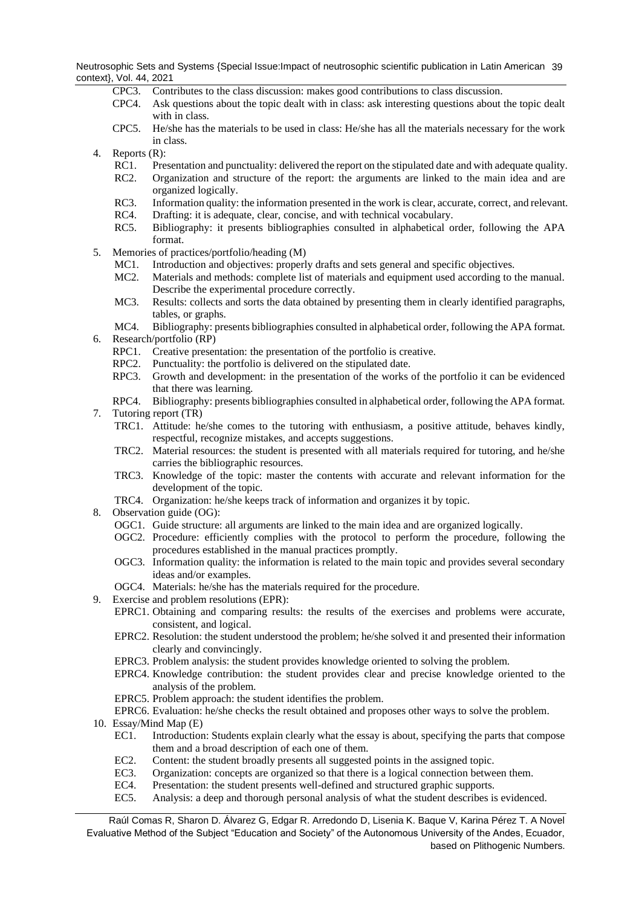Neutrosophic Sets and Systems {Special Issue:Impact of neutrosophic scientific publication in Latin American 39 context}, Vol. 44, 2021

- CPC3. Contributes to the class discussion: makes good contributions to class discussion.
- CPC4. Ask questions about the topic dealt with in class: ask interesting questions about the topic dealt with in class.
- CPC5. He/she has the materials to be used in class: He/she has all the materials necessary for the work in class.
- 4. Reports (R):
	- RC1. Presentation and punctuality: delivered the report on the stipulated date and with adequate quality.
	- RC2. Organization and structure of the report: the arguments are linked to the main idea and are organized logically.
	- RC3. Information quality: the information presented in the work is clear, accurate, correct, and relevant.
	- RC4. Drafting: it is adequate, clear, concise, and with technical vocabulary.
	- RC5. Bibliography: it presents bibliographies consulted in alphabetical order, following the APA format.
- 5. Memories of practices/portfolio/heading (M)
	- MC1. Introduction and objectives: properly drafts and sets general and specific objectives.
	- MC2. Materials and methods: complete list of materials and equipment used according to the manual. Describe the experimental procedure correctly.
	- MC3. Results: collects and sorts the data obtained by presenting them in clearly identified paragraphs, tables, or graphs.
- MC4. Bibliography: presents bibliographies consulted in alphabetical order, following the APA format. 6. Research/portfolio (RP)
	- RPC1. Creative presentation: the presentation of the portfolio is creative.
	- RPC2. Punctuality: the portfolio is delivered on the stipulated date.
	- RPC3. Growth and development: in the presentation of the works of the portfolio it can be evidenced that there was learning.
	- RPC4. Bibliography: presents bibliographies consulted in alphabetical order, following the APA format.
- 7. Tutoring report (TR)
	- TRC1. Attitude: he/she comes to the tutoring with enthusiasm, a positive attitude, behaves kindly, respectful, recognize mistakes, and accepts suggestions.
	- TRC2. Material resources: the student is presented with all materials required for tutoring, and he/she carries the bibliographic resources.
	- TRC3. Knowledge of the topic: master the contents with accurate and relevant information for the development of the topic.
	- TRC4. Organization: he/she keeps track of information and organizes it by topic.
- 8. Observation guide (OG):
	- OGC1. Guide structure: all arguments are linked to the main idea and are organized logically.
	- OGC2. Procedure: efficiently complies with the protocol to perform the procedure, following the procedures established in the manual practices promptly.
	- OGC3. Information quality: the information is related to the main topic and provides several secondary ideas and/or examples.
	- OGC4. Materials: he/she has the materials required for the procedure.
- 9. Exercise and problem resolutions (EPR):
	- EPRC1. Obtaining and comparing results: the results of the exercises and problems were accurate, consistent, and logical.
	- EPRC2. Resolution: the student understood the problem; he/she solved it and presented their information clearly and convincingly.
	- EPRC3. Problem analysis: the student provides knowledge oriented to solving the problem.
	- EPRC4. Knowledge contribution: the student provides clear and precise knowledge oriented to the analysis of the problem.
	- EPRC5. Problem approach: the student identifies the problem.
	- EPRC6. Evaluation: he/she checks the result obtained and proposes other ways to solve the problem.
- 10. Essay/Mind Map (E)
	- EC1. Introduction: Students explain clearly what the essay is about, specifying the parts that compose them and a broad description of each one of them.
	- EC2. Content: the student broadly presents all suggested points in the assigned topic.
	- EC3. Organization: concepts are organized so that there is a logical connection between them.
	- EC4. Presentation: the student presents well-defined and structured graphic supports.
	- EC5. Analysis: a deep and thorough personal analysis of what the student describes is evidenced.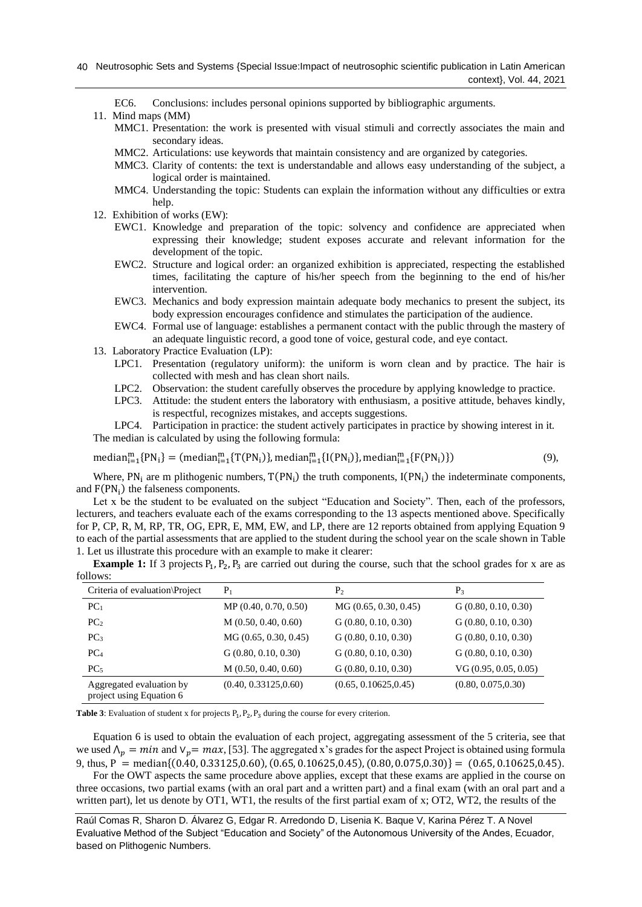- EC6. Conclusions: includes personal opinions supported by bibliographic arguments.
- 11. Mind maps (MM)
	- MMC1. Presentation: the work is presented with visual stimuli and correctly associates the main and secondary ideas.
	- MMC2. Articulations: use keywords that maintain consistency and are organized by categories.
	- MMC3. Clarity of contents: the text is understandable and allows easy understanding of the subject, a logical order is maintained.
	- MMC4. Understanding the topic: Students can explain the information without any difficulties or extra help.
- 12. Exhibition of works (EW):
	- EWC1. Knowledge and preparation of the topic: solvency and confidence are appreciated when expressing their knowledge; student exposes accurate and relevant information for the development of the topic.
	- EWC2. Structure and logical order: an organized exhibition is appreciated, respecting the established times, facilitating the capture of his/her speech from the beginning to the end of his/her intervention.
	- EWC3. Mechanics and body expression maintain adequate body mechanics to present the subject, its body expression encourages confidence and stimulates the participation of the audience.
	- EWC4. Formal use of language: establishes a permanent contact with the public through the mastery of an adequate linguistic record, a good tone of voice, gestural code, and eye contact.
- 13. Laboratory Practice Evaluation (LP):
	- LPC1. Presentation (regulatory uniform): the uniform is worn clean and by practice. The hair is collected with mesh and has clean short nails.
	- LPC2. Observation: the student carefully observes the procedure by applying knowledge to practice.
	- LPC3. Attitude: the student enters the laboratory with enthusiasm, a positive attitude, behaves kindly, is respectful, recognizes mistakes, and accepts suggestions.

LPC4. Participation in practice: the student actively participates in practice by showing interest in it. The median is calculated by using the following formula:

 $median_{i=1}^m {P N_i} = (median_{i=1}^m {T (P N_i)}), median_{i=1}^m {I (P N_i)}$ , median $_{i=1}^m {F (P N_i)}$  $(9)$ ,

Where,  $PN_i$  are m plithogenic numbers,  $T(PN_i)$  the truth components,  $I(PN_i)$  the indeterminate components, and  $F(PN_i)$  the falseness components.

Let x be the student to be evaluated on the subject "Education and Society". Then, each of the professors, lecturers, and teachers evaluate each of the exams corresponding to the 13 aspects mentioned above. Specifically for P, CP, R, M, RP, TR, OG, EPR, E, MM, EW, and LP, there are 12 reports obtained from applying Equation 9 to each of the partial assessments that are applied to the student during the school year on the scale shown in Table 1. Let us illustrate this procedure with an example to make it clearer:

**Example 1:** If 3 projects  $P_1$ ,  $P_2$ ,  $P_3$  are carried out during the course, such that the school grades for x are as follows:

| Criteria of evaluation\Project                       | $P_1$                 | P <sub>2</sub>        | $P_3$                |
|------------------------------------------------------|-----------------------|-----------------------|----------------------|
| PC <sub>1</sub>                                      | MP (0.40, 0.70, 0.50) | MG (0.65, 0.30, 0.45) | G(0.80, 0.10, 0.30)  |
| PC <sub>2</sub>                                      | M(0.50, 0.40, 0.60)   | G(0.80, 0.10, 0.30)   | G(0.80, 0.10, 0.30)  |
| PC <sub>3</sub>                                      | MG (0.65, 0.30, 0.45) | G(0.80, 0.10, 0.30)   | G(0.80, 0.10, 0.30)  |
| PC <sub>4</sub>                                      | G(0.80, 0.10, 0.30)   | G(0.80, 0.10, 0.30)   | G(0.80, 0.10, 0.30)  |
| PC <sub>5</sub>                                      | M(0.50, 0.40, 0.60)   | G(0.80, 0.10, 0.30)   | VG(0.95, 0.05, 0.05) |
| Aggregated evaluation by<br>project using Equation 6 | (0.40, 0.33125, 0.60) | (0.65, 0.10625, 0.45) | (0.80, 0.075, 0.30)  |

**Table 3**: Evaluation of student x for projects  $P_1$ ,  $P_2$ ,  $P_3$  during the course for every criterion.

Equation 6 is used to obtain the evaluation of each project, aggregating assessment of the 5 criteria, see that we used  $\Lambda_p = min$  and  $V_p = max$ , [\[53\]](#page-9-1). The aggregated x's grades for the aspect Project is obtained using formula 9, thus, P = median $\{(0.40, 0.33125, 0.60), (0.65, 0.10625, 0.45), (0.80, 0.075, 0.30)\} = (0.65, 0.10625, 0.45)$ .

For the OWT aspects the same procedure above applies, except that these exams are applied in the course on three occasions, two partial exams (with an oral part and a written part) and a final exam (with an oral part and a written part), let us denote by OT1, WT1, the results of the first partial exam of x; OT2, WT2, the results of the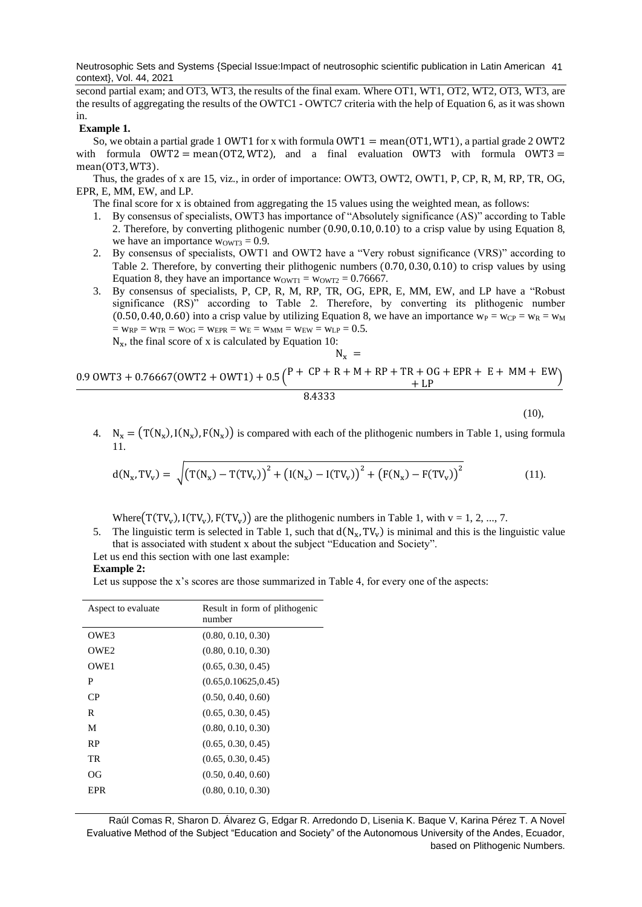Neutrosophic Sets and Systems {Special Issue:Impact of neutrosophic scientific publication in Latin American 41 context}, Vol. 44, 2021

second partial exam; and OT3, WT3, the results of the final exam. Where OT1, WT1, OT2, WT2, OT3, WT3, are the results of aggregating the results of the OWTC1 - OWTC7 criteria with the help of Equation 6, as it was shown in.

#### **Example 1.**

So, we obtain a partial grade 1 OWT1 for x with formula  $\text{OWT1} = \text{mean}(\text{OT1}, \text{WT1})$ , a partial grade 2 OWT2 with formula  $OWT2 = mean(0T2, WT2)$ , and a final evaluation OWT3 with formula OWT3 = mean(OT3, WT3).

Thus, the grades of x are 15, viz., in order of importance: OWT3, OWT2, OWT1, P, CP, R, M, RP, TR, OG, EPR, E, MM, EW, and LP.

The final score for x is obtained from aggregating the 15 values using the weighted mean, as follows:

- 1. By consensus of specialists, OWT3 has importance of "Absolutely significance (AS)" according to Table 2. Therefore, by converting plithogenic number (0.90,0.10, 0.10) to a crisp value by using Equation 8, we have an importance  $w<sub>OWT3</sub> = 0.9$ .
- 2. By consensus of specialists, OWT1 and OWT2 have a "Very robust significance (VRS)" according to Table 2. Therefore, by converting their plithogenic numbers (0.70, 0.30, 0.10) to crisp values by using Equation 8, they have an importance  $w_{\text{OWT1}} = w_{\text{OWT2}} = 0.76667$ .
- 3. By consensus of specialists, P, CP, R, M, RP, TR, OG, EPR, E, MM, EW, and LP have a "Robust significance (RS)" according to Table 2. Therefore, by converting its plithogenic number (0.50, 0.40, 0.60) into a crisp value by utilizing Equation 8, we have an importance  $w_P = w_{CP} = w_R = w_M$  $=$  WRP  $=$  WTR  $=$  W<sub>OG</sub>  $=$  WEPR  $=$  WE  $=$  WMM  $=$  WEW  $=$  WLP  $=$  0.5.  $N_x$ , the final score of x is calculated by Equation 10:

 $N_{\rm v}$  =

$$
\frac{0.9 \text{ OWT3} + 0.76667(\text{OWT2} + \text{OWT1}) + 0.5\binom{P + \text{ CP} + \text{R} + \text{M} + \text{RP} + \text{TR} + \text{OG} + \text{EPR} + \text{E} + \text{MM} + \text{EW}}{8.4333} + \text{LP}}
$$

 $(10)$ ,

4.  $N_x = (T(N_x), I(N_x), F(N_x))$  is compared with each of the plithogenic numbers in Table 1, using formula 11.

$$
d(N_x, TV_v) = \sqrt{(T(N_x) - T(TV_v))^{2} + (I(N_x) - I(TV_v))^{2} + (F(N_x) - F(TV_v))^{2}}
$$
(11).

Where $(T(TV_v), I(TV_v), F(TV_v))$  are the plithogenic numbers in Table 1, with  $v = 1, 2, ..., 7$ .

5. The linguistic term is selected in Table 1, such that  $d(N_x, TV_v)$  is minimal and this is the linguistic value that is associated with student x about the subject "Education and Society".

Let us end this section with one last example:

## **Example 2:**

Let us suppose the x's scores are those summarized in Table 4, for every one of the aspects:

| Result in form of plithogenic<br>number |
|-----------------------------------------|
| (0.80, 0.10, 0.30)                      |
| (0.80, 0.10, 0.30)                      |
| (0.65, 0.30, 0.45)                      |
| (0.65, 0.10625, 0.45)                   |
| (0.50, 0.40, 0.60)                      |
| (0.65, 0.30, 0.45)                      |
| (0.80, 0.10, 0.30)                      |
| (0.65, 0.30, 0.45)                      |
| (0.65, 0.30, 0.45)                      |
| (0.50, 0.40, 0.60)                      |
| (0.80, 0.10, 0.30)                      |
|                                         |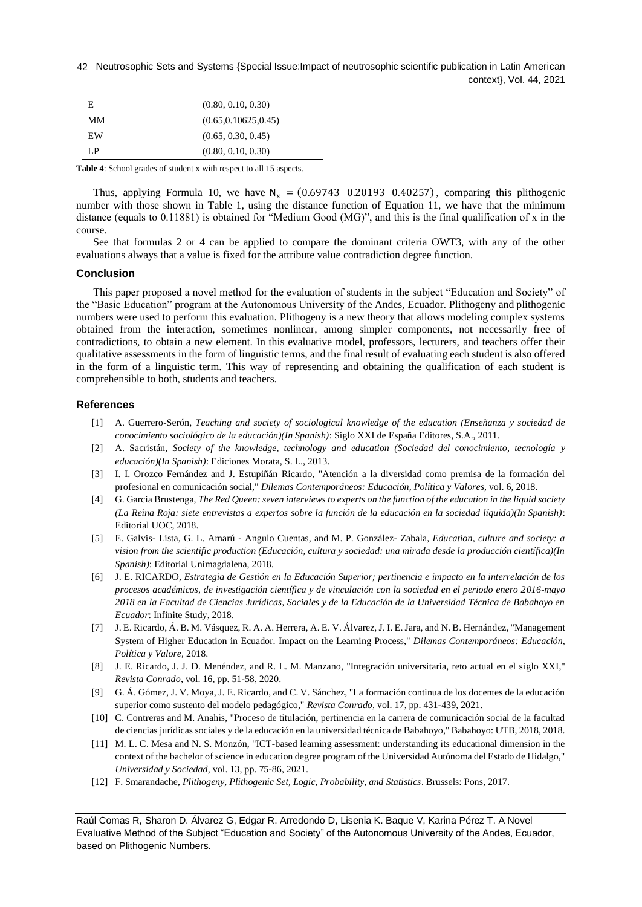Neutrosophic Sets and Systems {Special Issue:Impact of neutrosophic scientific publication in Latin American 42 context}, Vol. 44, 2021

| E.        | (0.80, 0.10, 0.30)    |
|-----------|-----------------------|
| MМ        | (0.65, 0.10625, 0.45) |
| <b>EW</b> | (0.65, 0.30, 0.45)    |
| ΙP        | (0.80, 0.10, 0.30)    |

**Table 4**: School grades of student x with respect to all 15 aspects.

Thus, applying Formula 10, we have  $N_x = (0.69743 \quad 0.20193 \quad 0.40257)$ , comparing this plithogenic number with those shown in Table 1, using the distance function of Equation 11, we have that the minimum distance (equals to 0.11881) is obtained for "Medium Good (MG)", and this is the final qualification of x in the course.

See that formulas 2 or 4 can be applied to compare the dominant criteria OWT3, with any of the other evaluations always that a value is fixed for the attribute value contradiction degree function.

#### **Conclusion**

This paper proposed a novel method for the evaluation of students in the subject "Education and Society" of the "Basic Education" program at the Autonomous University of the Andes, Ecuador. Plithogeny and plithogenic numbers were used to perform this evaluation. Plithogeny is a new theory that allows modeling complex systems obtained from the interaction, sometimes nonlinear, among simpler components, not necessarily free of contradictions, to obtain a new element. In this evaluative model, professors, lecturers, and teachers offer their qualitative assessments in the form of linguistic terms, and the final result of evaluating each student is also offered in the form of a linguistic term. This way of representing and obtaining the qualification of each student is comprehensible to both, students and teachers.

### **References**

- <span id="page-7-0"></span>[1] A. Guerrero-Serón, *Teaching and society of sociological knowledge of the education (Enseñanza y sociedad de conocimiento sociológico de la educación)(In Spanish)*: Siglo XXI de España Editores, S.A., 2011.
- <span id="page-7-1"></span>[2] A. Sacristán, *Society of the knowledge, technology and education (Sociedad del conocimiento, tecnología y educación)(In Spanish)*: Ediciones Morata, S. L., 2013.
- <span id="page-7-2"></span>[3] I. I. Orozco Fernández and J. Estupiñán Ricardo, "Atención a la diversidad como premisa de la formación del profesional en comunicación social," *Dilemas Contemporáneos: Educación, Política y Valores,* vol. 6, 2018.
- <span id="page-7-3"></span>[4] G. Garcia Brustenga, *The Red Queen: seven interviews to experts on the function of the education in the liquid society (La Reina Roja: siete entrevistas a expertos sobre la función de la educación en la sociedad líquida)(In Spanish)*: Editorial UOC, 2018.
- <span id="page-7-4"></span>[5] E. Galvis- Lista, G. L. Amarú - Angulo Cuentas, and M. P. González- Zabala, *Education, culture and society: a vision from the scientific production (Educación, cultura y sociedad: una mirada desde la producción científica)(In Spanish)*: Editorial Unimagdalena, 2018.
- <span id="page-7-5"></span>[6] J. E. RICARDO, *Estrategia de Gestión en la Educación Superior; pertinencia e impacto en la interrelación de los procesos académicos, de investigación científica y de vinculación con la sociedad en el periodo enero 2016-mayo 2018 en la Facultad de Ciencias Jurídicas, Sociales y de la Educación de la Universidad Técnica de Babahoyo en Ecuador*: Infinite Study, 2018.
- [7] J. E. Ricardo, Á. B. M. Vásquez, R. A. A. Herrera, A. E. V. Álvarez, J. I. E. Jara, and N. B. Hernández, "Management System of Higher Education in Ecuador. Impact on the Learning Process," *Dilemas Contemporáneos: Educación, Política y Valore,* 2018.
- [8] J. E. Ricardo, J. J. D. Menéndez, and R. L. M. Manzano, "Integración universitaria, reto actual en el siglo XXI," *Revista Conrado,* vol. 16, pp. 51-58, 2020.
- [9] G. Á. Gómez, J. V. Moya, J. E. Ricardo, and C. V. Sánchez, "La formación continua de los docentes de la educación superior como sustento del modelo pedagógico," *Revista Conrado,* vol. 17, pp. 431-439, 2021.
- [10] C. Contreras and M. Anahis, "Proceso de titulación, pertinencia en la carrera de comunicación social de la facultad de ciencias jurídicas sociales y de la educación en la universidad técnica de Babahoyo," Babahoyo: UTB, 2018, 2018.
- [11] M. L. C. Mesa and N. S. Monzón, "ICT-based learning assessment: understanding its educational dimension in the context of the bachelor of science in education degree program of the Universidad Autónoma del Estado de Hidalgo," *Universidad y Sociedad,* vol. 13, pp. 75-86, 2021.
- <span id="page-7-6"></span>[12] F. Smarandache, *Plithogeny, Plithogenic Set, Logic, Probability, and Statistics*. Brussels: Pons, 2017.

Raúl Comas R, Sharon D. Álvarez G, Edgar R. Arredondo D, Lisenia K. Baque V, Karina Pérez T. A Novel Evaluative Method of the Subject "Education and Society" of the Autonomous University of the Andes, Ecuador, based on Plithogenic Numbers.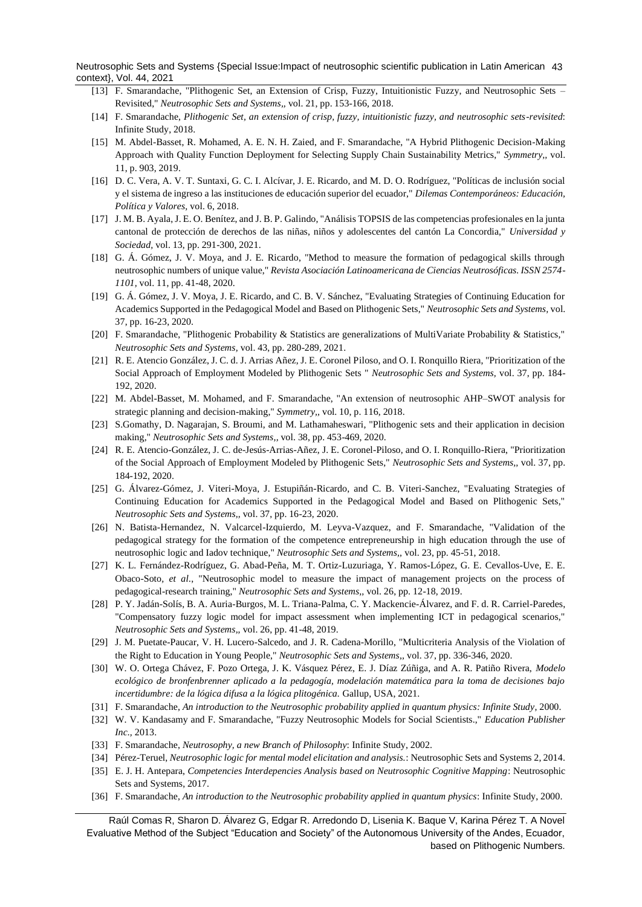Neutrosophic Sets and Systems {Special Issue:Impact of neutrosophic scientific publication in Latin American 43 context}, Vol. 44, 2021

- <span id="page-8-8"></span>[13] F. Smarandache, "Plithogenic Set, an Extension of Crisp, Fuzzy, Intuitionistic Fuzzy, and Neutrosophic Sets – Revisited," *Neutrosophic Sets and Systems,,* vol. 21, pp. 153-166, 2018.
- <span id="page-8-9"></span>[14] F. Smarandache, *Plithogenic Set, an extension of crisp, fuzzy, intuitionistic fuzzy, and neutrosophic sets-revisited*: Infinite Study, 2018.
- <span id="page-8-2"></span>[15] M. Abdel-Basset, R. Mohamed, A. E. N. H. Zaied, and F. Smarandache, "A Hybrid Plithogenic Decision-Making Approach with Quality Function Deployment for Selecting Supply Chain Sustainability Metrics," *Symmetry,,* vol. 11, p. 903, 2019.
- [16] D. C. Vera, A. V. T. Suntaxi, G. C. I. Alcívar, J. E. Ricardo, and M. D. O. Rodríguez, "Políticas de inclusión social y el sistema de ingreso a las instituciones de educación superior del ecuador," *Dilemas Contemporáneos: Educación, Política y Valores,* vol. 6, 2018.
- [17] J. M. B. Ayala, J. E. O. Benítez, and J. B. P. Galindo, "Análisis TOPSIS de las competencias profesionales en la junta cantonal de protección de derechos de las niñas, niños y adolescentes del cantón La Concordia," *Universidad y Sociedad,* vol. 13, pp. 291-300, 2021.
- <span id="page-8-0"></span>[18] G. Á. Gómez, J. V. Moya, and J. E. Ricardo, "Method to measure the formation of pedagogical skills through neutrosophic numbers of unique value," *Revista Asociación Latinoamericana de Ciencias Neutrosóficas. ISSN 2574- 1101,* vol. 11, pp. 41-48, 2020.
- <span id="page-8-1"></span>[19] G. Á. Gómez, J. V. Moya, J. E. Ricardo, and C. B. V. Sánchez, "Evaluating Strategies of Continuing Education for Academics Supported in the Pedagogical Model and Based on Plithogenic Sets," *Neutrosophic Sets and Systems,* vol. 37, pp. 16-23, 2020.
- [20] F. Smarandache, "Plithogenic Probability & Statistics are generalizations of MultiVariate Probability & Statistics," *Neutrosophic Sets and Systems,* vol. 43, pp. 280-289, 2021.
- [21] R. E. Atencio González, J. C. d. J. Arrias Añez, J. E. Coronel Piloso, and O. I. Ronquillo Riera, "Prioritization of the Social Approach of Employment Modeled by Plithogenic Sets " *Neutrosophic Sets and Systems,* vol. 37, pp. 184- 192, 2020.
- <span id="page-8-3"></span>[22] M. Abdel-Basset, M. Mohamed, and F. Smarandache, "An extension of neutrosophic AHP–SWOT analysis for strategic planning and decision-making," *Symmetry,,* vol. 10, p. 116, 2018.
- <span id="page-8-4"></span>[23] S.Gomathy, D. Nagarajan, S. Broumi, and M. Lathamaheswari, "Plithogenic sets and their application in decision making," *Neutrosophic Sets and Systems,,* vol. 38, pp. 453-469, 2020.
- <span id="page-8-5"></span>[24] R. E. Atencio-González, J. C. de-Jesús-Arrias-Añez, J. E. Coronel-Piloso, and O. I. Ronquillo-Riera, "Prioritization of the Social Approach of Employment Modeled by Plithogenic Sets," *Neutrosophic Sets and Systems,,* vol. 37, pp. 184-192, 2020.
- <span id="page-8-6"></span>[25] G. Álvarez-Gómez, J. Viteri-Moya, J. Estupiñán-Ricardo, and C. B. Viteri-Sanchez, "Evaluating Strategies of Continuing Education for Academics Supported in the Pedagogical Model and Based on Plithogenic Sets," *Neutrosophic Sets and Systems,,* vol. 37, pp. 16-23, 2020.
- <span id="page-8-7"></span>[26] N. Batista-Hernandez, N. Valcarcel-Izquierdo, M. Leyva-Vazquez, and F. Smarandache, "Validation of the pedagogical strategy for the formation of the competence entrepreneurship in high education through the use of neutrosophic logic and Iadov technique," *Neutrosophic Sets and Systems,,* vol. 23, pp. 45-51, 2018.
- [27] K. L. Fernández-Rodríguez, G. Abad-Peña, M. T. Ortiz-Luzuriaga, Y. Ramos-López, G. E. Cevallos-Uve, E. E. Obaco-Soto*, et al.*, "Neutrosophic model to measure the impact of management projects on the process of pedagogical-research training," *Neutrosophic Sets and Systems,,* vol. 26, pp. 12-18, 2019.
- [28] P. Y. Jadán-Solís, B. A. Auria-Burgos, M. L. Triana-Palma, C. Y. Mackencie-Álvarez, and F. d. R. Carriel-Paredes, "Compensatory fuzzy logic model for impact assessment when implementing ICT in pedagogical scenarios," *Neutrosophic Sets and Systems,,* vol. 26, pp. 41-48, 2019.
- [29] J. M. Puetate-Paucar, V. H. Lucero-Salcedo, and J. R. Cadena-Morillo, "Multicriteria Analysis of the Violation of the Right to Education in Young People," *Neutrosophic Sets and Systems,,* vol. 37, pp. 336-346, 2020.
- <span id="page-8-10"></span>[30] W. O. Ortega Chávez, F. Pozo Ortega, J. K. Vásquez Pérez, E. J. Díaz Zúñiga, and A. R. Patiño Rivera, *Modelo ecológico de bronfenbrenner aplicado a la pedagogía, modelación matemática para la toma de decisiones bajo incertidumbre: de la lógica difusa a la lógica plitogénica.* Gallup, USA, 2021.
- [31] F. Smarandache, *An introduction to the Neutrosophic probability applied in quantum physics: Infinite Study*, 2000.
- [32] W. V. Kandasamy and F. Smarandache, "Fuzzy Neutrosophic Models for Social Scientists.," *Education Publisher Inc.,* 2013.
- [33] F. Smarandache, *Neutrosophy, a new Branch of Philosophy*: Infinite Study, 2002.
- [34] Pérez-Teruel, *Neutrosophic logic for mental model elicitation and analysis.*: Neutrosophic Sets and Systems 2, 2014.
- [35] E. J. H. Antepara, *Competencies Interdepencies Analysis based on Neutrosophic Cognitive Mapping*: Neutrosophic Sets and Systems, 2017.
- [36] F. Smarandache, *An introduction to the Neutrosophic probability applied in quantum physics*: Infinite Study, 2000.